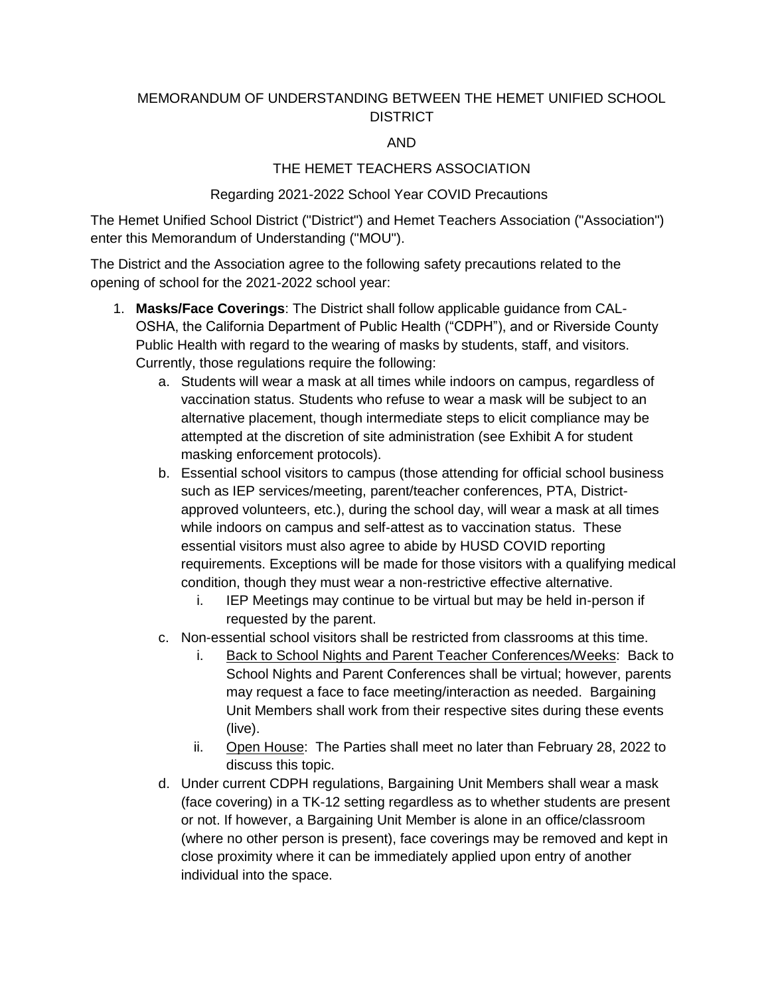# MEMORANDUM OF UNDERSTANDING BETWEEN THE HEMET UNIFIED SCHOOL **DISTRICT**

#### **AND**

# THE HEMET TEACHERS ASSOCIATION

### Regarding 2021-2022 School Year COVID Precautions

The Hemet Unified School District ("District") and Hemet Teachers Association ("Association") enter this Memorandum of Understanding ("MOU").

The District and the Association agree to the following safety precautions related to the opening of school for the 2021-2022 school year:

- 1. Masks/Face Coverings: The District shall follow applicable quidance from CAL-OSHA, the California Department of Public Health ("CDPH"), and or Riverside County Public Health with regard to the wearing of masks by students, staff, and visitors. Currently, those regulations require the following:
	- a. Students will wear a mask at all times while indoors on campus, regardless of vaccination status. Students who refuse to wear a mask will be subject to an alternative placement, though intermediate steps to elicit compliance may be attempted at the discretion of site administration (see Exhibit A for student masking enforcement protocols).
	- b. Essential school visitors to campus (those attending for official school business such as IEP services/meeting, parent/teacher conferences, PTA, Districtapproved volunteers, etc.), during the school day, will wear a mask at all times while indoors on campus and self-attest as to vaccination status. These essential visitors must also agree to abide by HUSD COVID reporting requirements. Exceptions will be made for those visitors with a qualifying medical condition, though they must wear a non-restrictive effective alternative.
		- IEP Meetings may continue to be virtual but may be held in-person if i. requested by the parent.
	- c. Non-essential school visitors shall be restricted from classrooms at this time.
		- i. Back to School Nights and Parent Teacher Conferences/Weeks: Back to School Nights and Parent Conferences shall be virtual; however, parents may request a face to face meeting/interaction as needed. Bargaining Unit Members shall work from their respective sites during these events  $(live)$ .
		- ii. Open House: The Parties shall meet no later than February 28, 2022 to discuss this topic.
	- d. Under current CDPH regulations, Bargaining Unit Members shall wear a mask (face covering) in a TK-12 setting regardless as to whether students are present or not. If however, a Bargaining Unit Member is alone in an office/classroom (where no other person is present), face coverings may be removed and kept in close proximity where it can be immediately applied upon entry of another individual into the space.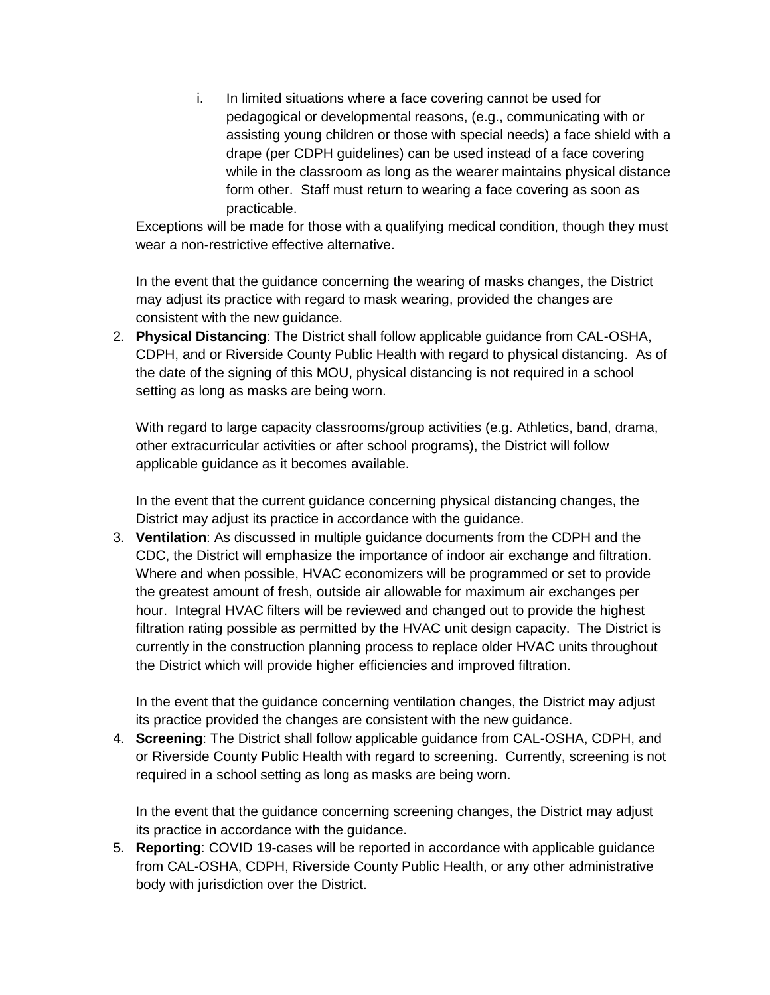i. In limited situations where a face covering cannot be used for pedagogical or developmental reasons, (e.g., communicating with or assisting young children or those with special needs) a face shield with a drape (per CDPH guidelines) can be used instead of a face covering while in the classroom as long as the wearer maintains physical distance form other. Staff must return to wearing a face covering as soon as practicable.

Exceptions will be made for those with a qualifying medical condition, though they must wear a non-restrictive effective alternative.

In the event that the guidance concerning the wearing of masks changes, the District may adjust its practice with regard to mask wearing, provided the changes are consistent with the new guidance.

2. Physical Distancing: The District shall follow applicable quidance from CAL-OSHA, CDPH, and or Riverside County Public Health with regard to physical distancing. As of the date of the signing of this MOU, physical distancing is not required in a school setting as long as masks are being worn.

With regard to large capacity classrooms/group activities (e.g. Athletics, band, drama, other extracurricular activities or after school programs), the District will follow applicable quidance as it becomes available.

In the event that the current guidance concerning physical distancing changes, the District may adjust its practice in accordance with the guidance.

3. Ventilation: As discussed in multiple guidance documents from the CDPH and the CDC, the District will emphasize the importance of indoor air exchange and filtration. Where and when possible, HVAC economizers will be programmed or set to provide the greatest amount of fresh, outside air allowable for maximum air exchanges per hour. Integral HVAC filters will be reviewed and changed out to provide the highest filtration rating possible as permitted by the HVAC unit design capacity. The District is currently in the construction planning process to replace older HVAC units throughout the District which will provide higher efficiencies and improved filtration.

In the event that the guidance concerning ventilation changes, the District may adjust its practice provided the changes are consistent with the new guidance.

4. Screening: The District shall follow applicable guidance from CAL-OSHA, CDPH, and or Riverside County Public Health with regard to screening. Currently, screening is not required in a school setting as long as masks are being worn.

In the event that the quidance concerning screening changes, the District may adjust its practice in accordance with the guidance.

5. Reporting: COVID 19-cases will be reported in accordance with applicable quidance from CAL-OSHA, CDPH, Riverside County Public Health, or any other administrative body with jurisdiction over the District.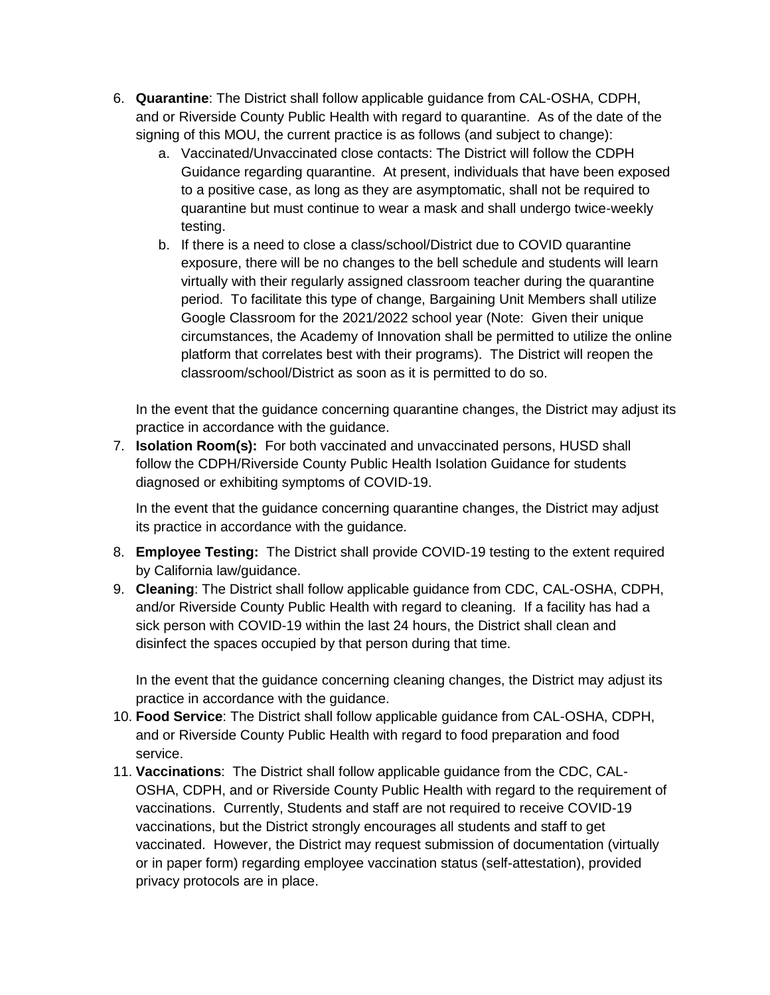- 6. Quarantine: The District shall follow applicable quidance from CAL-OSHA, CDPH, and or Riverside County Public Health with regard to quarantine. As of the date of the signing of this MOU, the current practice is as follows (and subject to change):
	- a. Vaccinated/Unvaccinated close contacts: The District will follow the CDPH Guidance regarding quarantine. At present, individuals that have been exposed to a positive case, as long as they are asymptomatic, shall not be required to quarantine but must continue to wear a mask and shall undergo twice-weekly testing.
	- b. If there is a need to close a class/school/District due to COVID quarantine exposure, there will be no changes to the bell schedule and students will learn virtually with their regularly assigned classroom teacher during the quarantine period. To facilitate this type of change, Bargaining Unit Members shall utilize Google Classroom for the 2021/2022 school year (Note: Given their unique circumstances, the Academy of Innovation shall be permitted to utilize the online platform that correlates best with their programs). The District will reopen the classroom/school/District as soon as it is permitted to do so.

In the event that the guidance concerning quarantine changes, the District may adjust its practice in accordance with the quidance.

7. **Isolation Room(s):** For both vaccinated and unvaccinated persons, HUSD shall follow the CDPH/Riverside County Public Health Isolation Guidance for students diagnosed or exhibiting symptoms of COVID-19.

In the event that the guidance concerning quarantine changes, the District may adjust its practice in accordance with the guidance.

- 8. Employee Testing: The District shall provide COVID-19 testing to the extent required by California law/guidance.
- 9. Cleaning: The District shall follow applicable quidance from CDC, CAL-OSHA, CDPH, and/or Riverside County Public Health with regard to cleaning. If a facility has had a sick person with COVID-19 within the last 24 hours, the District shall clean and disinfect the spaces occupied by that person during that time.

In the event that the guidance concerning cleaning changes, the District may adjust its practice in accordance with the guidance.

- 10. Food Service: The District shall follow applicable quidance from CAL-OSHA, CDPH, and or Riverside County Public Health with regard to food preparation and food service.
- 11. Vaccinations: The District shall follow applicable quidance from the CDC, CAL-OSHA, CDPH, and or Riverside County Public Health with regard to the requirement of vaccinations. Currently, Students and staff are not required to receive COVID-19 vaccinations, but the District strongly encourages all students and staff to get vaccinated. However, the District may request submission of documentation (virtually or in paper form) regarding employee vaccination status (self-attestation), provided privacy protocols are in place.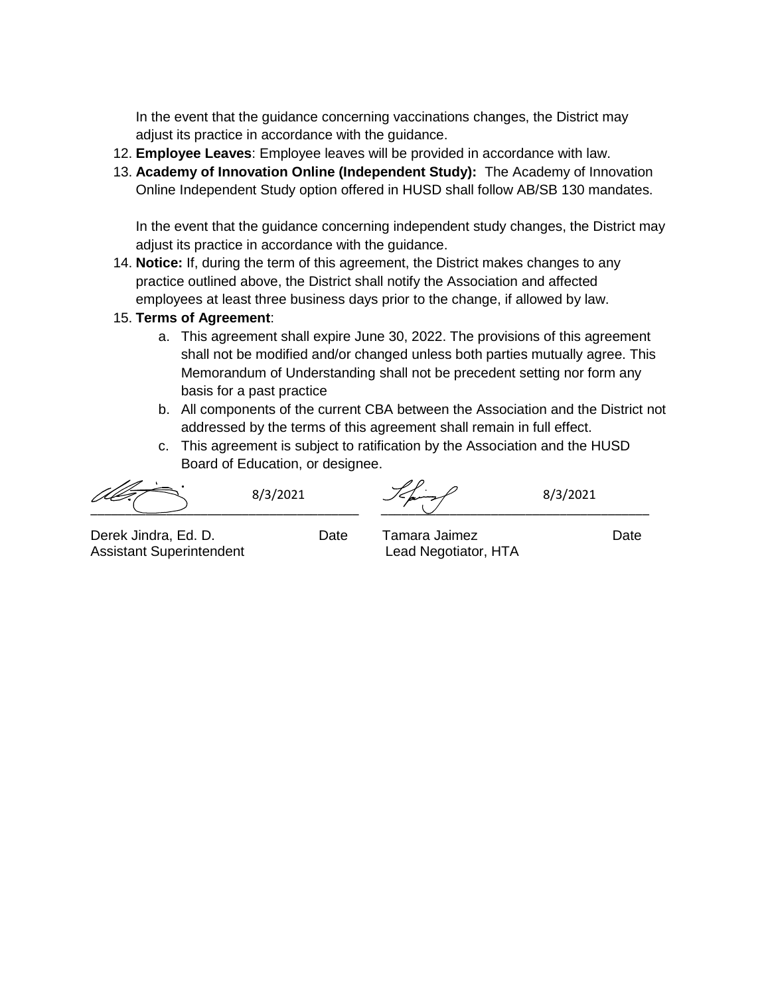In the event that the guidance concerning vaccinations changes, the District may adjust its practice in accordance with the guidance.

- 12. **Employee Leaves**: Employee leaves will be provided in accordance with law.
- 13. **Academy of Innovation Online (Independent Study):** The Academy of Innovation Online Independent Study option offered in HUSD shall follow AB/SB 130 mandates.

In the event that the guidance concerning independent study changes, the District may adjust its practice in accordance with the guidance.

- 14. **Notice:** If, during the term of this agreement, the District makes changes to any practice outlined above, the District shall notify the Association and affected employees at least three business days prior to the change, if allowed by law.
- 15. **Terms of Agreement**:
	- a. This agreement shall expire June 30, 2022. The provisions of this agreement shall not be modified and/or changed unless both parties mutually agree. This Memorandum of Understanding shall not be precedent setting nor form any basis for a past practice
	- b. All components of the current CBA between the Association and the District not addressed by the terms of this agreement shall remain in full effect.
	- c. This agreement is subject to ratification by the Association and the HUSD Board of Education, or designee.

\_\_\_\_\_\_\_\_\_\_\_\_\_\_\_\_\_\_\_\_\_\_\_\_\_\_\_\_\_\_\_\_\_\_\_\_\_\_\_ \_\_\_\_\_\_\_\_\_\_\_\_\_\_\_\_\_\_\_\_\_\_\_\_\_\_\_\_\_\_\_\_\_\_\_\_\_\_\_  $8/3/2021$   $\frac{7}{201}$   $\frac{8}{3/2021}$ 

Derek Jindra, Ed. D. Date Tamara Jaimez Date Assistant Superintendent Lead Negotiator, HTA